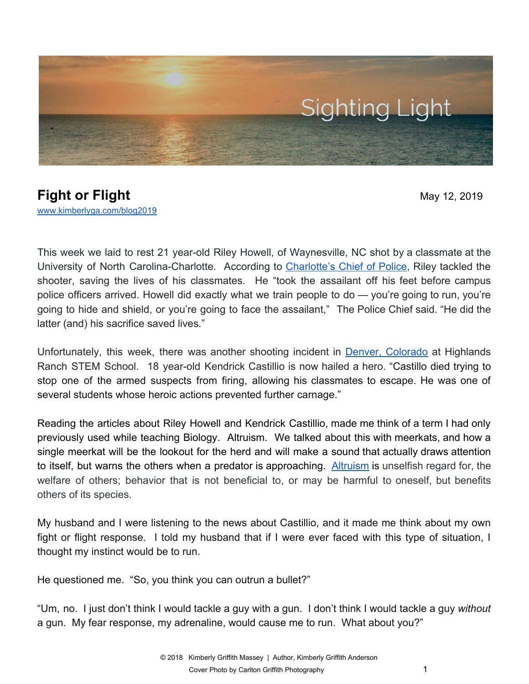

## **Fight or Flight** May 12, 2019 [www.kimberlyga.com/blog2019](http://www.kimberlyga.com/blog)

This week we laid to rest 21 year-old Riley Howell, of Waynesville, NC shot by a classmate at the University of North Carolina-Charlotte. According to [Charlotte's](https://www.charlotteobserver.com/news/local/article229891334.html) Chief of Police, Riley tackled the shooter, saving the lives of his classmates. He "took the assailant off his feet before campus police officers arrived. Howell did exactly what we train people to do — you're going to run, you're going to hide and shield, or you're going to face the assailant," The Police Chief said. "He did the latter (and) his sacrifice saved lives."

Unfortunately, this week, there was another shooting incident in Denver, [Colorado](https://www.cbsnews.com/news/colorado-shooting-kendrick-castillo-stem-school-highlands-ranch/) at Highlands Ranch STEM School. 18 year-old Kendrick Castillio is now hailed a hero. "Castillo died trying to stop one of the armed suspects from firing, allowing his classmates to escape. He was one of several students whose heroic actions prevented further carnage."

Reading the articles about Riley Howell and Kendrick Castillio, made me think of a term I had only previously used while teaching Biology. Altruism. We talked about this with meerkats, and how a single meerkat will be the lookout for the herd and will make a sound that actually draws attention to itself, but warns the others when a predator is approaching. [Altruism](https://www.merriam-webster.com/dictionary/altruism) is unselfish regard for, the welfare of others; behavior that is not beneficial to, or may be harmful to oneself, but benefits others of its species.

My husband and I were listening to the news about Castillio, and it made me think about my own fight or flight response. I told my husband that if I were ever faced with this type of situation, I thought my instinct would be to run.

He questioned me. "So, you think you can outrun a bullet?"

"Um, no. I just don't think I would tackle a guy with a gun. I don't think I would tackle a guy *without* a gun. My fear response, my adrenaline, would cause me to run. What about you?"